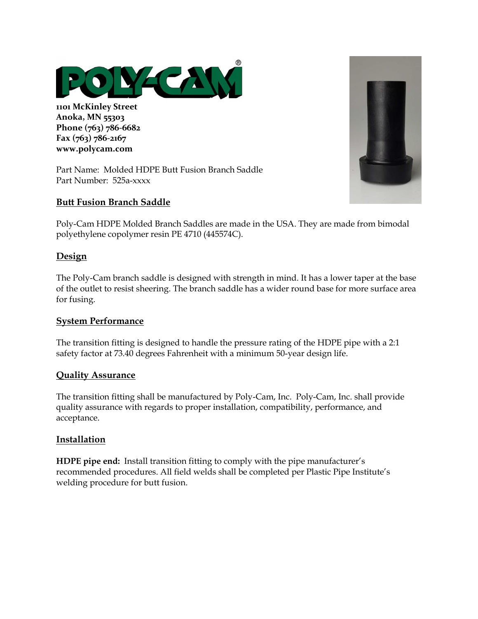

**1101 McKinley Street Anoka, MN 55303 Phone (763) 786-6682 Fax (763) 786-2167 www.polycam.com**

Part Name: Molded HDPE Butt Fusion Branch Saddle Part Number: 525a-xxxx

# **Butt Fusion Branch Saddle**

Poly-Cam HDPE Molded Branch Saddles are made in the USA. They are made from bimodal polyethylene copolymer resin PE 4710 (445574C).

# **Design**

The Poly-Cam branch saddle is designed with strength in mind. It has a lower taper at the base of the outlet to resist sheering. The branch saddle has a wider round base for more surface area for fusing.

## **System Performance**

The transition fitting is designed to handle the pressure rating of the HDPE pipe with a 2:1 safety factor at 73.40 degrees Fahrenheit with a minimum 50-year design life.

#### **Quality Assurance**

The transition fitting shall be manufactured by Poly-Cam, Inc. Poly-Cam, Inc. shall provide quality assurance with regards to proper installation, compatibility, performance, and acceptance.

#### **Installation**

**HDPE pipe end:** Install transition fitting to comply with the pipe manufacturer's recommended procedures. All field welds shall be completed per Plastic Pipe Institute's welding procedure for butt fusion.

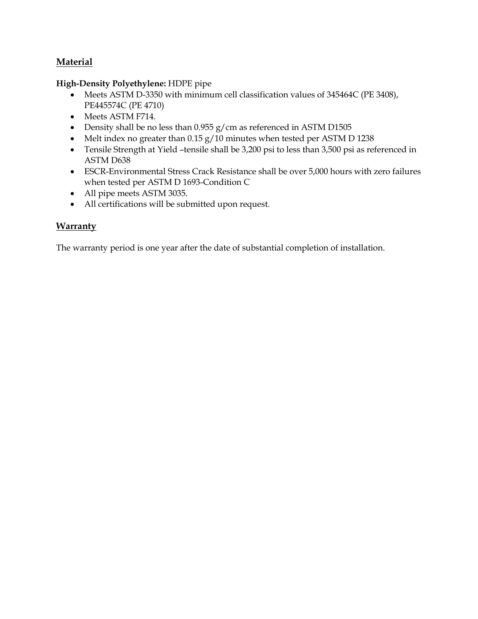# **Material**

## **High-Density Polyethylene:** HDPE pipe

- Meets ASTM D-3350 with minimum cell classification values of 345464C (PE 3408), PE445574C (PE 4710)
- Meets ASTM F714.
- Density shall be no less than 0.955 g/cm as referenced in ASTM D1505
- Melt index no greater than 0.15 g/10 minutes when tested per ASTM D 1238
- Tensile Strength at Yield –tensile shall be 3,200 psi to less than 3,500 psi as referenced in ASTM D638
- ESCR-Environmental Stress Crack Resistance shall be over 5,000 hours with zero failures when tested per ASTM D 1693-Condition C
- All pipe meets ASTM 3035.
- All certifications will be submitted upon request.

# **Warranty**

The warranty period is one year after the date of substantial completion of installation.